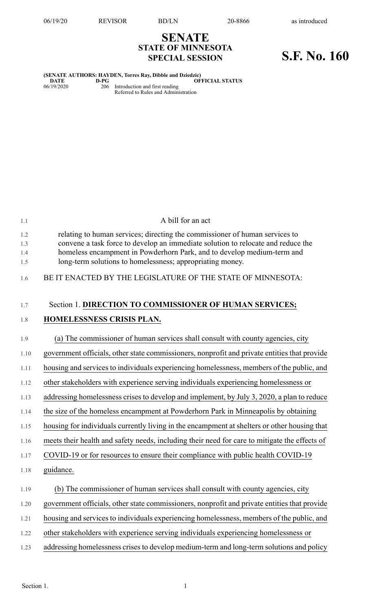## **SENATE STATE OF MINNESOTA SPECIAL SESSION S.F. No. 160**

## **(SENATE AUTHORS: HAYDEN, Torres Ray, Dibble and Dziedzic)**  $O$ **FFICIAL STATUS**

06/19/2020 206 Introduction and first reading Referred to Rules and Administration

| 1.1        | A bill for an act                                                                                                                                               |
|------------|-----------------------------------------------------------------------------------------------------------------------------------------------------------------|
| 1.2<br>1.3 | relating to human services; directing the commissioner of human services to<br>convene a task force to develop an immediate solution to relocate and reduce the |
| 1.4<br>1.5 | homeless encampment in Powderhorn Park, and to develop medium-term and<br>long-term solutions to homelessness; appropriating money.                             |
| 1.6        | BE IT ENACTED BY THE LEGISLATURE OF THE STATE OF MINNESOTA:                                                                                                     |
| 1.7        | Section 1. DIRECTION TO COMMISSIONER OF HUMAN SERVICES;                                                                                                         |
| 1.8        | HOMELESSNESS CRISIS PLAN.                                                                                                                                       |
| 1.9        | (a) The commissioner of human services shall consult with county agencies, city                                                                                 |
| 1.10       | government officials, other state commissioners, nonprofit and private entities that provide                                                                    |
| 1.11       | housing and services to individuals experiencing homelessness, members of the public, and                                                                       |
| 1.12       | other stakeholders with experience serving individuals experiencing homelessness or                                                                             |
| 1.13       | addressing homelessness crises to develop and implement, by July 3, 2020, a plan to reduce                                                                      |
| 1.14       | the size of the homeless encampment at Powderhorn Park in Minneapolis by obtaining                                                                              |
| 1.15       | housing for individuals currently living in the encampment at shelters or other housing that                                                                    |
| 1.16       | meets their health and safety needs, including their need for care to mitigate the effects of                                                                   |
| 1.17       | COVID-19 or for resources to ensure their compliance with public health COVID-19                                                                                |
| 1.18       | guidance.                                                                                                                                                       |
| 1.19       | (b) The commissioner of human services shall consult with county agencies, city                                                                                 |
| 1.20       | government officials, other state commissioners, nonprofit and private entities that provide                                                                    |
| 1.21       | housing and services to individuals experiencing homelessness, members of the public, and                                                                       |
| 1.22       | other stakeholders with experience serving individuals experiencing homelessness or                                                                             |
| 1.23       | addressing homelessness crises to develop medium-term and long-term solutions and policy                                                                        |
|            |                                                                                                                                                                 |